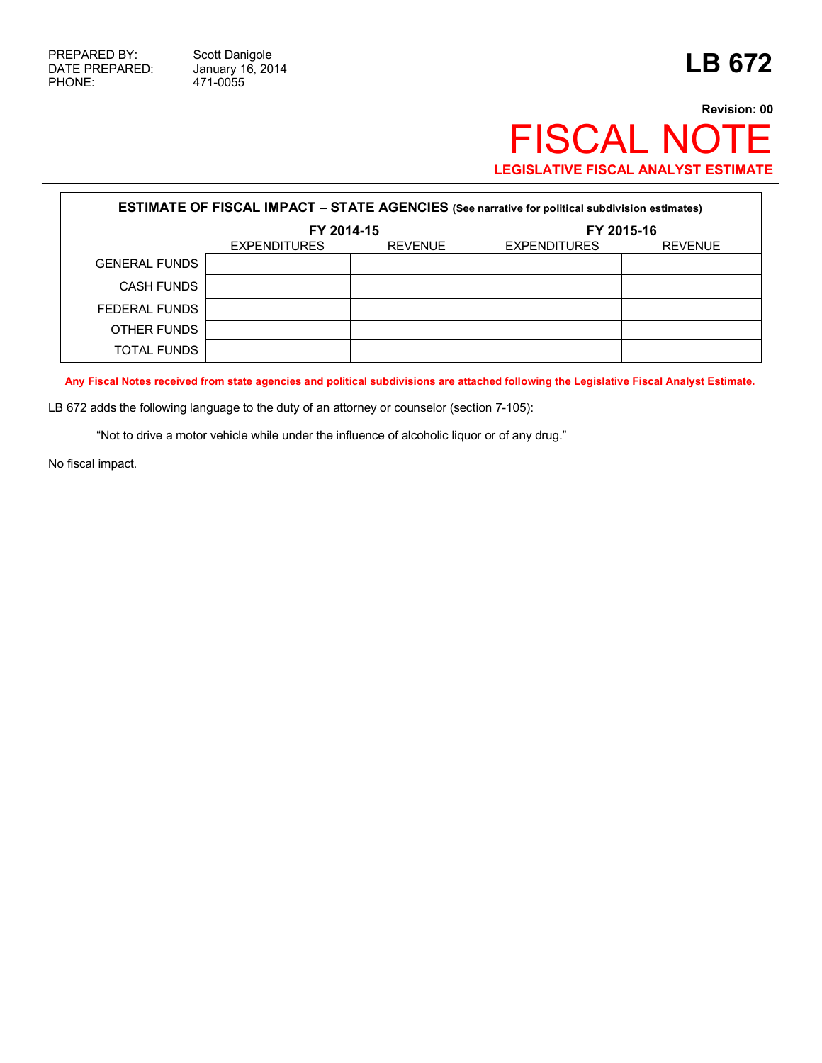## **Revision: 00** FISCAL NOTE **LEGISLATIVE FISCAL ANALYST ESTIMATE**

| <b>ESTIMATE OF FISCAL IMPACT - STATE AGENCIES (See narrative for political subdivision estimates)</b> |                                       |  |                     |                |  |
|-------------------------------------------------------------------------------------------------------|---------------------------------------|--|---------------------|----------------|--|
|                                                                                                       | FY 2014-15                            |  | FY 2015-16          |                |  |
|                                                                                                       | <b>REVENUE</b><br><b>EXPENDITURES</b> |  | <b>EXPENDITURES</b> | <b>REVENUE</b> |  |
| <b>GENERAL FUNDS</b>                                                                                  |                                       |  |                     |                |  |
| <b>CASH FUNDS</b>                                                                                     |                                       |  |                     |                |  |
| FEDERAL FUNDS                                                                                         |                                       |  |                     |                |  |
| OTHER FUNDS                                                                                           |                                       |  |                     |                |  |
| TOTAL FUNDS                                                                                           |                                       |  |                     |                |  |

**Any Fiscal Notes received from state agencies and political subdivisions are attached following the Legislative Fiscal Analyst Estimate.**

LB 672 adds the following language to the duty of an attorney or counselor (section 7-105):

"Not to drive a motor vehicle while under the influence of alcoholic liquor or of any drug."

No fiscal impact.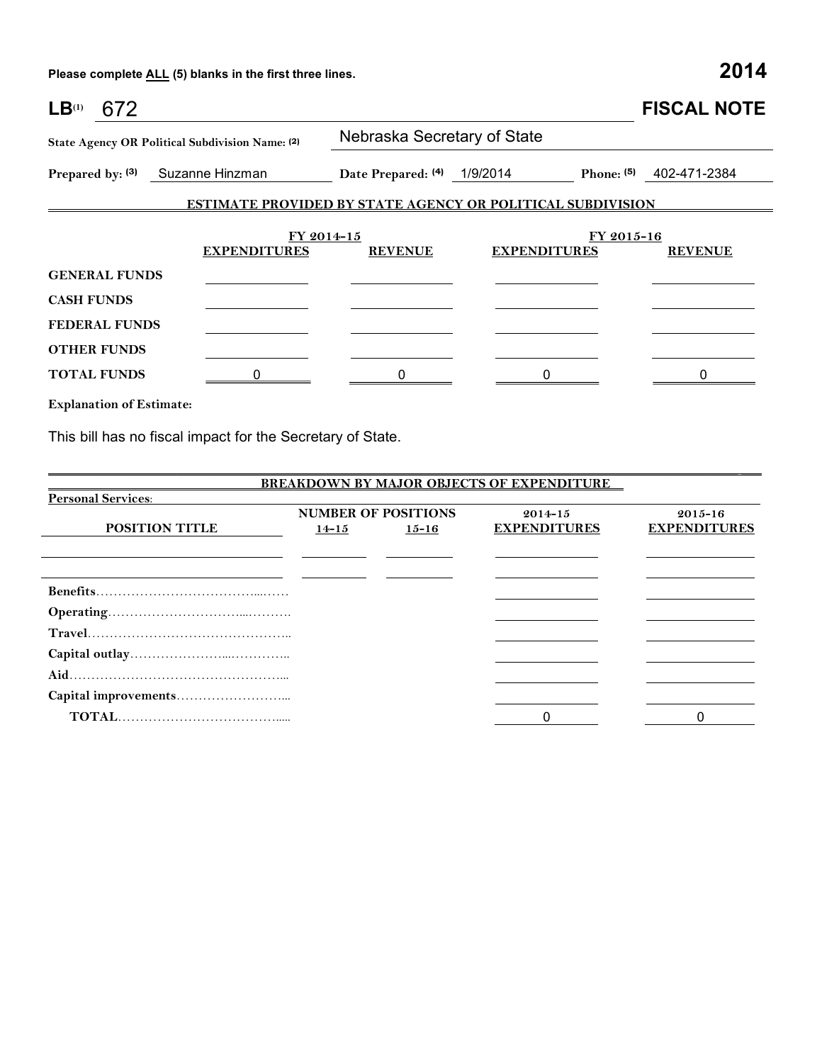**Please complete ALL (5) blanks in the first three lines. 2014**

| LB <sup>(1)</sup><br>672                   |                                                                   |                             |                     | <b>FISCAL NOTE</b>           |  |  |
|--------------------------------------------|-------------------------------------------------------------------|-----------------------------|---------------------|------------------------------|--|--|
|                                            | State Agency OR Political Subdivision Name: (2)                   | Nebraska Secretary of State |                     |                              |  |  |
|                                            | Prepared by: (3) Suzanne Hinzman                                  | Date Prepared: (4) 1/9/2014 |                     | Phone: (5)<br>402-471-2384   |  |  |
|                                            | <b>ESTIMATE PROVIDED BY STATE AGENCY OR POLITICAL SUBDIVISION</b> |                             |                     |                              |  |  |
|                                            | FY 2014-15<br><b>EXPENDITURES</b>                                 | <b>REVENUE</b>              | <b>EXPENDITURES</b> | FY 2015-16<br><b>REVENUE</b> |  |  |
| <b>GENERAL FUNDS</b>                       |                                                                   |                             |                     |                              |  |  |
| <b>CASH FUNDS</b>                          |                                                                   |                             |                     |                              |  |  |
| <b>FEDERAL FUNDS</b><br><b>OTHER FUNDS</b> |                                                                   |                             |                     |                              |  |  |
| <b>TOTAL FUNDS</b>                         |                                                                   |                             |                     |                              |  |  |

**Explanation of Estimate:**

This bill has no fiscal impact for the Secretary of State.

|                           |                            |           | <b>BREAKDOWN BY MAJOR OBJECTS OF EXPENDITURE</b> |                     |  |
|---------------------------|----------------------------|-----------|--------------------------------------------------|---------------------|--|
| <b>Personal Services:</b> |                            |           |                                                  |                     |  |
|                           | <b>NUMBER OF POSITIONS</b> |           | $2014 - 15$                                      | $2015 - 16$         |  |
| <b>POSITION TITLE</b>     | $14 - 15$                  | $15 - 16$ | <b>EXPENDITURES</b>                              | <b>EXPENDITURES</b> |  |
|                           |                            |           |                                                  |                     |  |
|                           |                            |           |                                                  |                     |  |
|                           |                            |           |                                                  |                     |  |
|                           |                            |           |                                                  |                     |  |
|                           |                            |           |                                                  |                     |  |
|                           |                            |           |                                                  |                     |  |
|                           |                            |           |                                                  |                     |  |
|                           |                            |           |                                                  |                     |  |
|                           |                            |           |                                                  |                     |  |
|                           |                            |           |                                                  |                     |  |
|                           |                            |           | 0                                                |                     |  |

\_\_\_\_\_\_\_\_\_\_\_\_\_\_\_\_\_\_\_\_\_\_\_\_\_\_\_\_\_\_\_\_\_\_\_\_\_\_\_\_\_\_\_\_\_\_\_\_\_\_\_\_\_\_\_\_\_\_\_\_\_\_\_\_\_\_\_\_\_\_\_\_\_\_\_\_\_\_\_\_\_\_\_\_\_\_\_\_\_\_\_\_\_\_\_\_\_\_\_\_\_\_ \_\_\_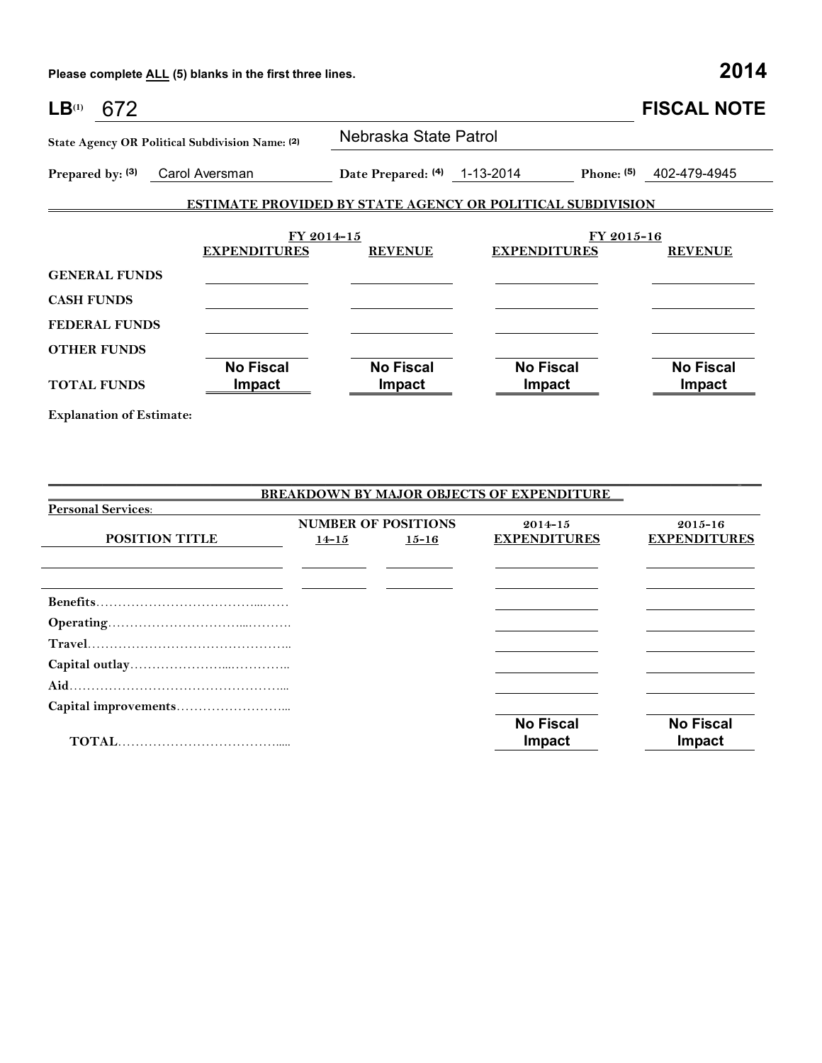**Please complete ALL (5) blanks in the first three lines. 2014**

| LB <sup>(1)</sup><br>672 |                                                 |                                   |                                                            | <b>FISCAL NOTE</b>         |  |  |  |
|--------------------------|-------------------------------------------------|-----------------------------------|------------------------------------------------------------|----------------------------|--|--|--|
|                          | State Agency OR Political Subdivision Name: (2) | Nebraska State Patrol             |                                                            |                            |  |  |  |
| Prepared by: (3)         | Carol Aversman                                  | Date Prepared: (4) 1-13-2014      | Phone: $(5)$                                               | 402-479-4945               |  |  |  |
|                          |                                                 |                                   | ESTIMATE PROVIDED BY STATE AGENCY OR POLITICAL SUBDIVISION |                            |  |  |  |
|                          | FY 2014-15                                      |                                   | FY 2015-16                                                 |                            |  |  |  |
|                          | <b>EXPENDITURES</b>                             | <b>REVENUE</b>                    | <b>EXPENDITURES</b>                                        | <b>REVENUE</b>             |  |  |  |
| <b>GENERAL FUNDS</b>     |                                                 |                                   |                                                            |                            |  |  |  |
| <b>CASH FUNDS</b>        |                                                 |                                   |                                                            |                            |  |  |  |
| <b>FEDERAL FUNDS</b>     |                                                 |                                   |                                                            |                            |  |  |  |
| <b>OTHER FUNDS</b>       |                                                 |                                   |                                                            |                            |  |  |  |
| <b>TOTAL FUNDS</b>       | <b>No Fiscal</b><br>Impact                      | <b>No Fiscal</b><br><b>Impact</b> | <b>No Fiscal</b><br>Impact                                 | <b>No Fiscal</b><br>Impact |  |  |  |

**Explanation of Estimate:**

|                           |                                         |           | <b>BREAKDOWN BY MAJOR OBJECTS OF EXPENDITURE</b> |                                    |
|---------------------------|-----------------------------------------|-----------|--------------------------------------------------|------------------------------------|
| <b>Personal Services:</b> |                                         |           |                                                  |                                    |
| <b>POSITION TITLE</b>     | <b>NUMBER OF POSITIONS</b><br>$14 - 15$ | $15 - 16$ | $2014 - 15$<br><b>EXPENDITURES</b>               | $2015 - 16$<br><b>EXPENDITURES</b> |
|                           |                                         |           |                                                  |                                    |
|                           |                                         |           |                                                  |                                    |
|                           |                                         |           |                                                  |                                    |
|                           |                                         |           |                                                  |                                    |
|                           |                                         |           |                                                  |                                    |
|                           |                                         |           |                                                  |                                    |
|                           |                                         |           |                                                  |                                    |
|                           |                                         |           | <b>No Fiscal</b><br>Impact                       | <b>No Fiscal</b><br>Impact         |